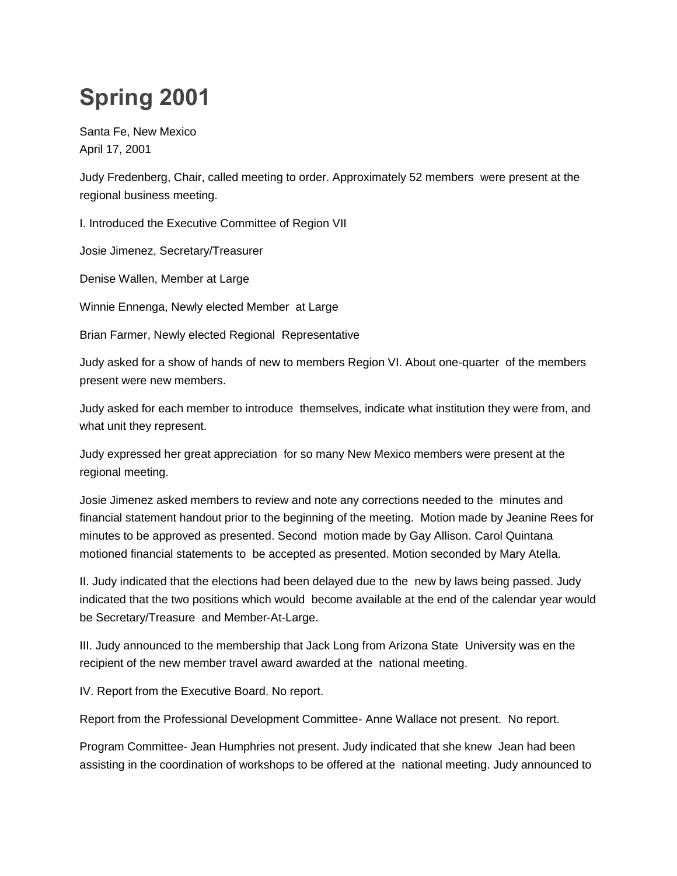## **Spring 2001**

Santa Fe, New Mexico April 17, 2001

Judy Fredenberg, Chair, called meeting to order. Approximately 52 members were present at the regional business meeting.

I. Introduced the Executive Committee of Region VII

Josie Jimenez, Secretary/Treasurer

Denise Wallen, Member at Large

Winnie Ennenga, Newly elected Member at Large

Brian Farmer, Newly elected Regional Representative

Judy asked for a show of hands of new to members Region VI. About one-quarter of the members present were new members.

Judy asked for each member to introduce themselves, indicate what institution they were from, and what unit they represent.

Judy expressed her great appreciation for so many New Mexico members were present at the regional meeting.

Josie Jimenez asked members to review and note any corrections needed to the minutes and financial statement handout prior to the beginning of the meeting. Motion made by Jeanine Rees for minutes to be approved as presented. Second motion made by Gay Allison. Carol Quintana motioned financial statements to be accepted as presented. Motion seconded by Mary Atella.

II. Judy indicated that the elections had been delayed due to the new by laws being passed. Judy indicated that the two positions which would become available at the end of the calendar year would be Secretary/Treasure and Member-At-Large.

III. Judy announced to the membership that Jack Long from Arizona State University was en the recipient of the new member travel award awarded at the national meeting.

IV. Report from the Executive Board. No report.

Report from the Professional Development Committee- Anne Wallace not present. No report.

Program Committee- Jean Humphries not present. Judy indicated that she knew Jean had been assisting in the coordination of workshops to be offered at the national meeting. Judy announced to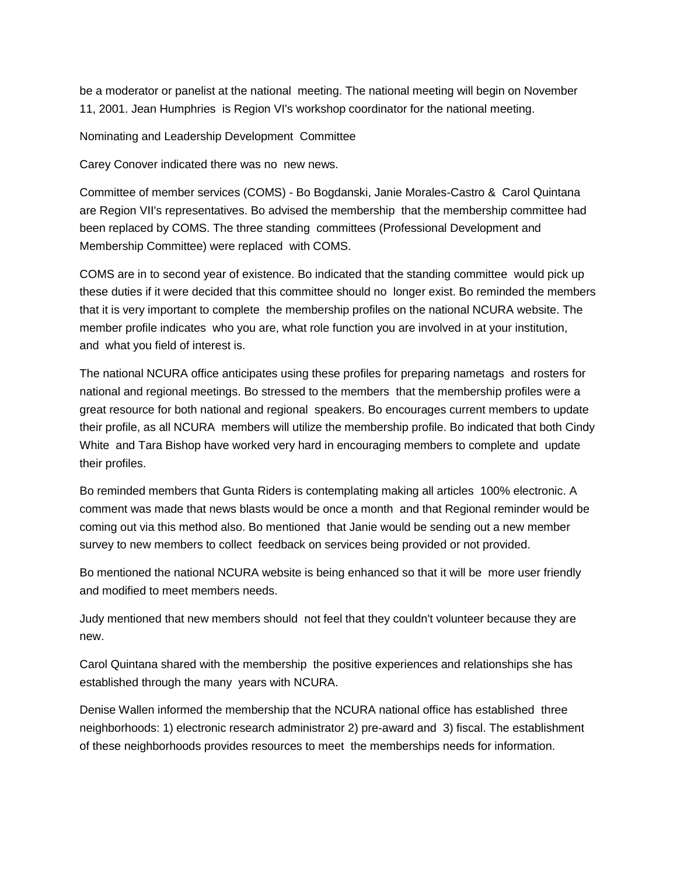be a moderator or panelist at the national meeting. The national meeting will begin on November 11, 2001. Jean Humphries is Region VI's workshop coordinator for the national meeting.

Nominating and Leadership Development Committee

Carey Conover indicated there was no new news.

Committee of member services (COMS) - Bo Bogdanski, Janie Morales-Castro & Carol Quintana are Region VII's representatives. Bo advised the membership that the membership committee had been replaced by COMS. The three standing committees (Professional Development and Membership Committee) were replaced with COMS.

COMS are in to second year of existence. Bo indicated that the standing committee would pick up these duties if it were decided that this committee should no longer exist. Bo reminded the members that it is very important to complete the membership profiles on the national NCURA website. The member profile indicates who you are, what role function you are involved in at your institution, and what you field of interest is.

The national NCURA office anticipates using these profiles for preparing nametags and rosters for national and regional meetings. Bo stressed to the members that the membership profiles were a great resource for both national and regional speakers. Bo encourages current members to update their profile, as all NCURA members will utilize the membership profile. Bo indicated that both Cindy White and Tara Bishop have worked very hard in encouraging members to complete and update their profiles.

Bo reminded members that Gunta Riders is contemplating making all articles 100% electronic. A comment was made that news blasts would be once a month and that Regional reminder would be coming out via this method also. Bo mentioned that Janie would be sending out a new member survey to new members to collect feedback on services being provided or not provided.

Bo mentioned the national NCURA website is being enhanced so that it will be more user friendly and modified to meet members needs.

Judy mentioned that new members should not feel that they couldn't volunteer because they are new.

Carol Quintana shared with the membership the positive experiences and relationships she has established through the many years with NCURA.

Denise Wallen informed the membership that the NCURA national office has established three neighborhoods: 1) electronic research administrator 2) pre-award and 3) fiscal. The establishment of these neighborhoods provides resources to meet the memberships needs for information.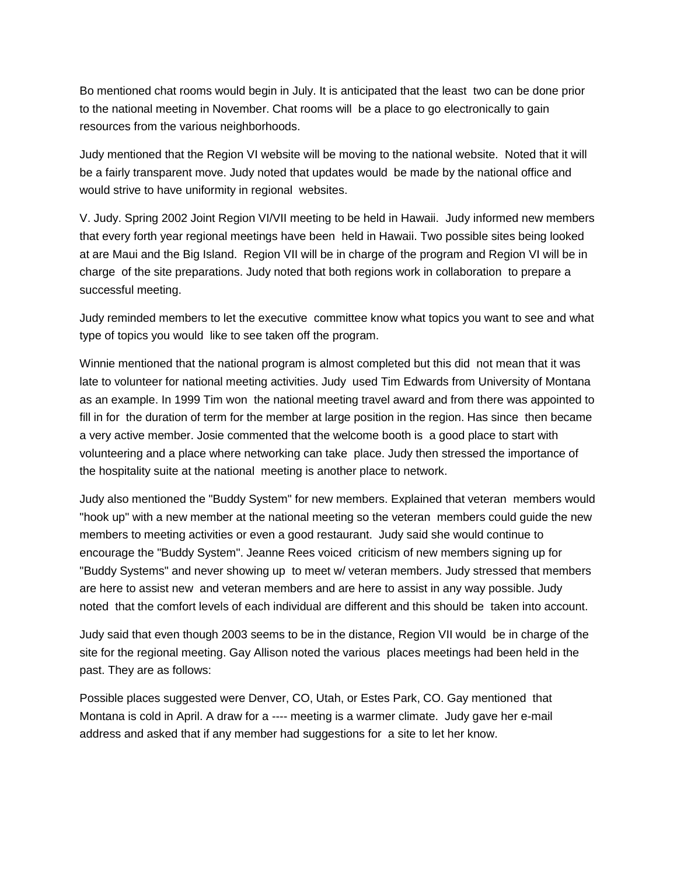Bo mentioned chat rooms would begin in July. It is anticipated that the least two can be done prior to the national meeting in November. Chat rooms will be a place to go electronically to gain resources from the various neighborhoods.

Judy mentioned that the Region VI website will be moving to the national website. Noted that it will be a fairly transparent move. Judy noted that updates would be made by the national office and would strive to have uniformity in regional websites.

V. Judy. Spring 2002 Joint Region VI/VII meeting to be held in Hawaii. Judy informed new members that every forth year regional meetings have been held in Hawaii. Two possible sites being looked at are Maui and the Big Island. Region VII will be in charge of the program and Region VI will be in charge of the site preparations. Judy noted that both regions work in collaboration to prepare a successful meeting.

Judy reminded members to let the executive committee know what topics you want to see and what type of topics you would like to see taken off the program.

Winnie mentioned that the national program is almost completed but this did not mean that it was late to volunteer for national meeting activities. Judy used Tim Edwards from University of Montana as an example. In 1999 Tim won the national meeting travel award and from there was appointed to fill in for the duration of term for the member at large position in the region. Has since then became a very active member. Josie commented that the welcome booth is a good place to start with volunteering and a place where networking can take place. Judy then stressed the importance of the hospitality suite at the national meeting is another place to network.

Judy also mentioned the "Buddy System" for new members. Explained that veteran members would "hook up" with a new member at the national meeting so the veteran members could guide the new members to meeting activities or even a good restaurant. Judy said she would continue to encourage the "Buddy System". Jeanne Rees voiced criticism of new members signing up for "Buddy Systems" and never showing up to meet w/ veteran members. Judy stressed that members are here to assist new and veteran members and are here to assist in any way possible. Judy noted that the comfort levels of each individual are different and this should be taken into account.

Judy said that even though 2003 seems to be in the distance, Region VII would be in charge of the site for the regional meeting. Gay Allison noted the various places meetings had been held in the past. They are as follows:

Possible places suggested were Denver, CO, Utah, or Estes Park, CO. Gay mentioned that Montana is cold in April. A draw for a ---- meeting is a warmer climate. Judy gave her e-mail address and asked that if any member had suggestions for a site to let her know.